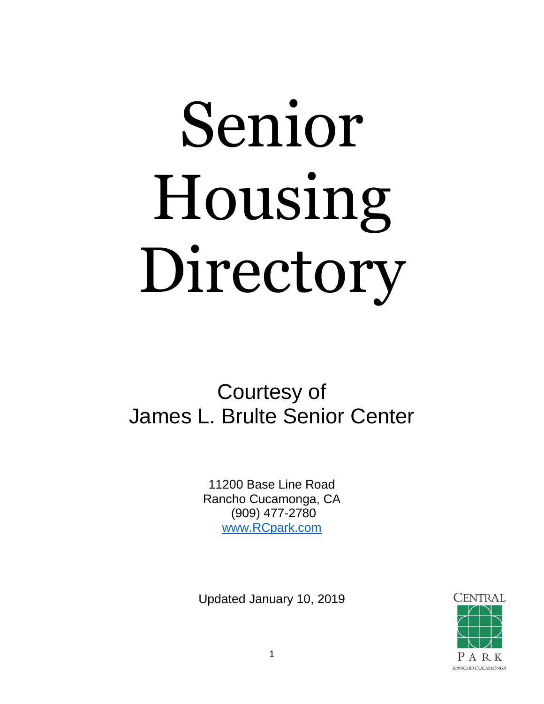# Senior Housing Directory

# Courtesy of James L. Brulte Senior Center

11200 Base Line Road Rancho Cucamonga, CA (909) 477-2780 [www.RCpark.com](http://www.rcpark.com/)

Updated January 10, 2019

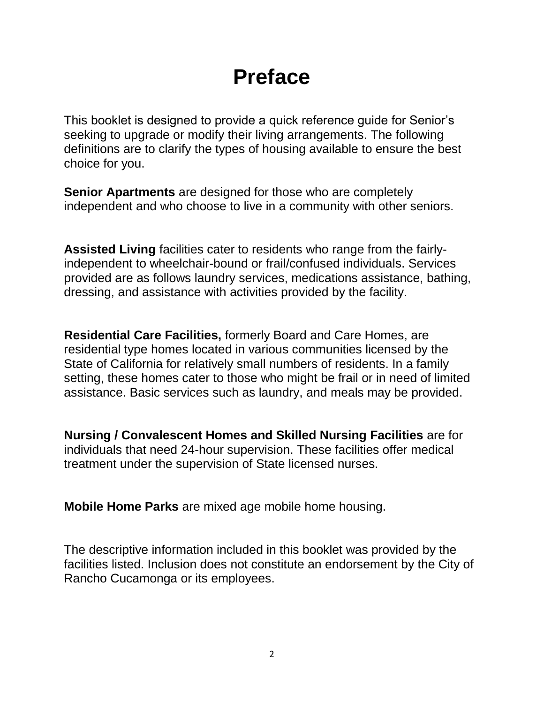# **Preface**

This booklet is designed to provide a quick reference guide for Senior's seeking to upgrade or modify their living arrangements. The following definitions are to clarify the types of housing available to ensure the best choice for you.

**Senior Apartments** are designed for those who are completely independent and who choose to live in a community with other seniors.

**Assisted Living** facilities cater to residents who range from the fairlyindependent to wheelchair-bound or frail/confused individuals. Services provided are as follows laundry services, medications assistance, bathing, dressing, and assistance with activities provided by the facility.

**Residential Care Facilities,** formerly Board and Care Homes, are residential type homes located in various communities licensed by the State of California for relatively small numbers of residents. In a family setting, these homes cater to those who might be frail or in need of limited assistance. Basic services such as laundry, and meals may be provided.

**Nursing / Convalescent Homes and Skilled Nursing Facilities** are for individuals that need 24-hour supervision. These facilities offer medical treatment under the supervision of State licensed nurses.

**Mobile Home Parks** are mixed age mobile home housing.

The descriptive information included in this booklet was provided by the facilities listed. Inclusion does not constitute an endorsement by the City of Rancho Cucamonga or its employees.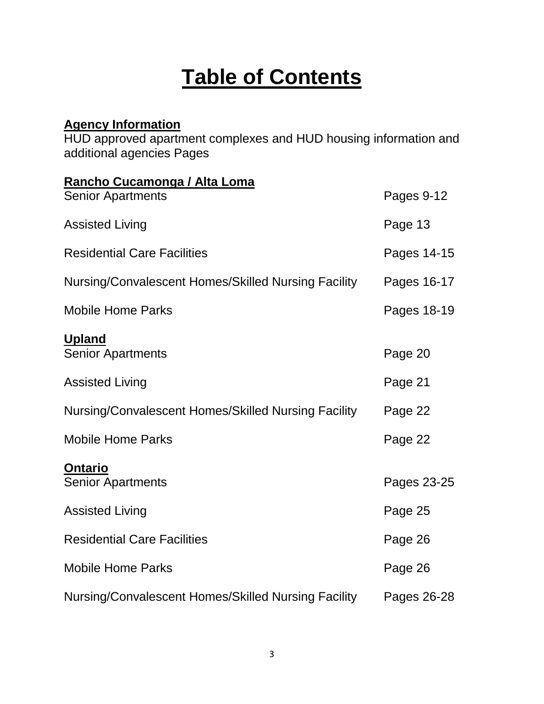# **Table of Contents**

### **Agency Information**

HUD approved apartment complexes and HUD housing information and additional agencies Pages

| Rancho Cucamonga / Alta Loma                        |             |
|-----------------------------------------------------|-------------|
| <b>Senior Apartments</b>                            | Pages 9-12  |
| <b>Assisted Living</b>                              | Page 13     |
| <b>Residential Care Facilities</b>                  | Pages 14-15 |
| Nursing/Convalescent Homes/Skilled Nursing Facility | Pages 16-17 |
| <b>Mobile Home Parks</b>                            | Pages 18-19 |
| <b>Upland</b><br><b>Senior Apartments</b>           | Page 20     |
| <b>Assisted Living</b>                              | Page 21     |
| Nursing/Convalescent Homes/Skilled Nursing Facility | Page 22     |
| <b>Mobile Home Parks</b>                            | Page 22     |
| <b>Ontario</b><br><b>Senior Apartments</b>          | Pages 23-25 |
| <b>Assisted Living</b>                              | Page 25     |
| <b>Residential Care Facilities</b>                  | Page 26     |
| <b>Mobile Home Parks</b>                            | Page 26     |
| Nursing/Convalescent Homes/Skilled Nursing Facility | Pages 26-28 |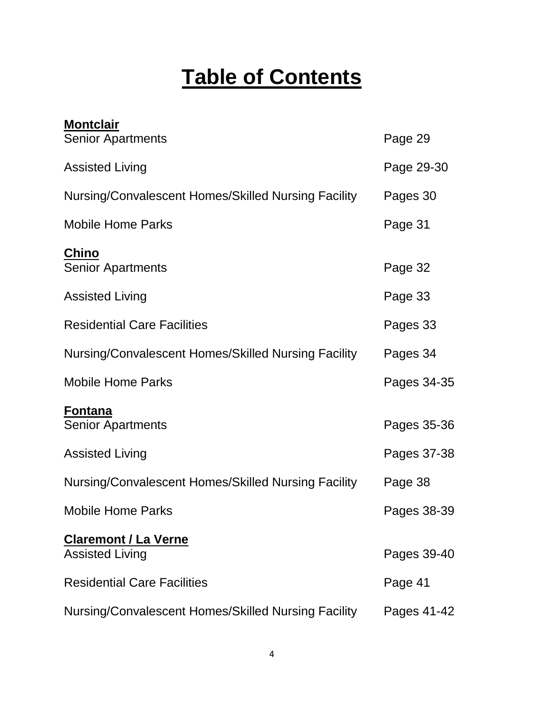# **Table of Contents**

| <b>Montclair</b>                                      |             |
|-------------------------------------------------------|-------------|
| <b>Senior Apartments</b>                              | Page 29     |
| <b>Assisted Living</b>                                | Page 29-30  |
| Nursing/Convalescent Homes/Skilled Nursing Facility   | Pages 30    |
| <b>Mobile Home Parks</b>                              | Page 31     |
| <b>Chino</b><br><b>Senior Apartments</b>              | Page 32     |
| <b>Assisted Living</b>                                | Page 33     |
| <b>Residential Care Facilities</b>                    | Pages 33    |
| Nursing/Convalescent Homes/Skilled Nursing Facility   | Pages 34    |
| <b>Mobile Home Parks</b>                              | Pages 34-35 |
| <b>Fontana</b><br><b>Senior Apartments</b>            | Pages 35-36 |
| <b>Assisted Living</b>                                | Pages 37-38 |
| Nursing/Convalescent Homes/Skilled Nursing Facility   | Page 38     |
| <b>Mobile Home Parks</b>                              | Pages 38-39 |
| <b>Claremont / La Verne</b><br><b>Assisted Living</b> | Pages 39-40 |
| <b>Residential Care Facilities</b>                    | Page 41     |
| Nursing/Convalescent Homes/Skilled Nursing Facility   | Pages 41-42 |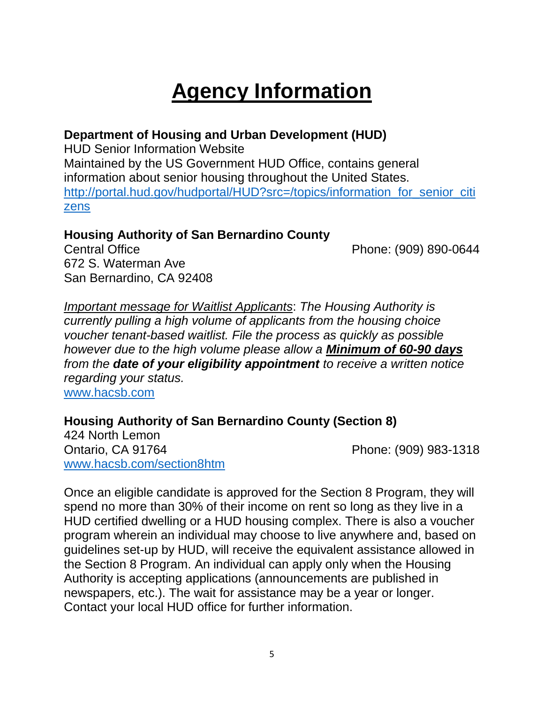# **Agency Information**

### **Department of Housing and Urban Development (HUD)**

HUD Senior Information Website Maintained by the US Government HUD Office, contains general information about senior housing throughout the United States. [http://portal.hud.gov/hudportal/HUD?src=/topics/information\\_for\\_senior\\_citi](http://portal.hud.gov/hudportal/HUD?src=/topics/information_for_senior_citizens) [zens](http://portal.hud.gov/hudportal/HUD?src=/topics/information_for_senior_citizens)

### **Housing Authority of San Bernardino County**

Central Office **Phone: (909) 890-0644** 672 S. Waterman Ave San Bernardino, CA 92408

*Important message for Waitlist Applicants*: *The Housing Authority is currently pulling a high volume of applicants from the housing choice voucher tenant-based waitlist. File the process as quickly as possible however due to the high volume please allow a Minimum of 60-90 days from the date of your eligibility appointment to receive a written notice regarding your status.* [www.hacsb.com](http://www.hacsb.com/)

**Housing Authority of San Bernardino County (Section 8)** 

424 North Lemon Ontario, CA 91764 Phone: (909) 983-1318 [www.hacsb.com/section8htm](http://www.hacsb.com/section8htm)

Once an eligible candidate is approved for the Section 8 Program, they will spend no more than 30% of their income on rent so long as they live in a HUD certified dwelling or a HUD housing complex. There is also a voucher program wherein an individual may choose to live anywhere and, based on guidelines set-up by HUD, will receive the equivalent assistance allowed in the Section 8 Program. An individual can apply only when the Housing Authority is accepting applications (announcements are published in newspapers, etc.). The wait for assistance may be a year or longer. Contact your local HUD office for further information.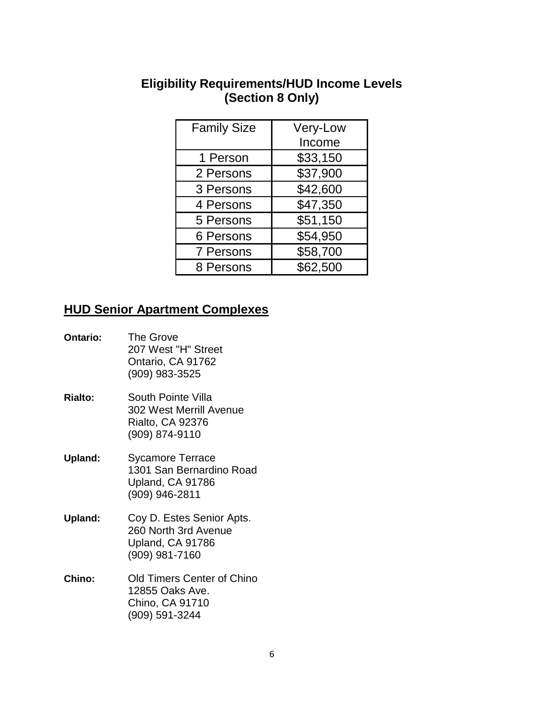### **Eligibility Requirements/HUD Income Levels (Section 8 Only)**

| <b>Family Size</b> | Very-Low |
|--------------------|----------|
|                    | Income   |
| 1 Person           | \$33,150 |
| 2 Persons          | \$37,900 |
| 3 Persons          | \$42,600 |
| 4 Persons          | \$47,350 |
| 5 Persons          | \$51,150 |
| 6 Persons          | \$54,950 |
| 7 Persons          | \$58,700 |
| 8 Persons          | \$62,500 |

### **HUD Senior Apartment Complexes**

| <b>Ontario:</b> | <b>The Grove</b><br>207 West "H" Street<br>Ontario, CA 91762<br>(909) 983-3525            |
|-----------------|-------------------------------------------------------------------------------------------|
| <b>Rialto:</b>  | South Pointe Villa<br>302 West Merrill Avenue<br>Rialto, CA 92376<br>(909) 874-9110       |
| Upland:         | <b>Sycamore Terrace</b><br>1301 San Bernardino Road<br>Upland, CA 91786<br>(909) 946-2811 |
| <b>Upland:</b>  | Coy D. Estes Senior Apts.<br>260 North 3rd Avenue<br>Upland, CA 91786<br>(909) 981-7160   |
| Chino:          | Old Timers Center of Chino<br>12855 Oaks Ave.<br>Chino, CA 91710<br>(909) 591-3244        |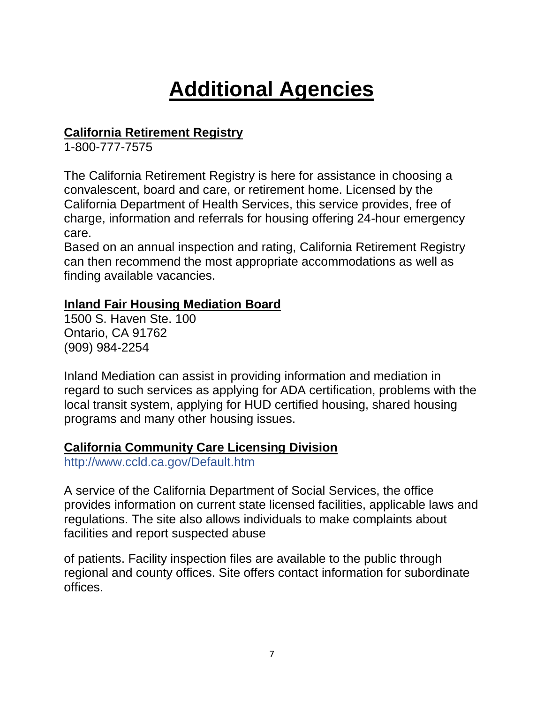# **Additional Agencies**

### **California Retirement Registry**

1-800-777-7575

The California Retirement Registry is here for assistance in choosing a convalescent, board and care, or retirement home. Licensed by the California Department of Health Services, this service provides, free of charge, information and referrals for housing offering 24-hour emergency care.

Based on an annual inspection and rating, California Retirement Registry can then recommend the most appropriate accommodations as well as finding available vacancies.

### **Inland Fair Housing Mediation Board**

1500 S. Haven Ste. 100 Ontario, CA 91762 (909) 984-2254

Inland Mediation can assist in providing information and mediation in regard to such services as applying for ADA certification, problems with the local transit system, applying for HUD certified housing, shared housing programs and many other housing issues.

### **California Community Care Licensing Division**

http://www.ccld.ca.gov/Default.htm

A service of the California Department of Social Services, the office provides information on current state licensed facilities, applicable laws and regulations. The site also allows individuals to make complaints about facilities and report suspected abuse

of patients. Facility inspection files are available to the public through regional and county offices. Site offers contact information for subordinate offices.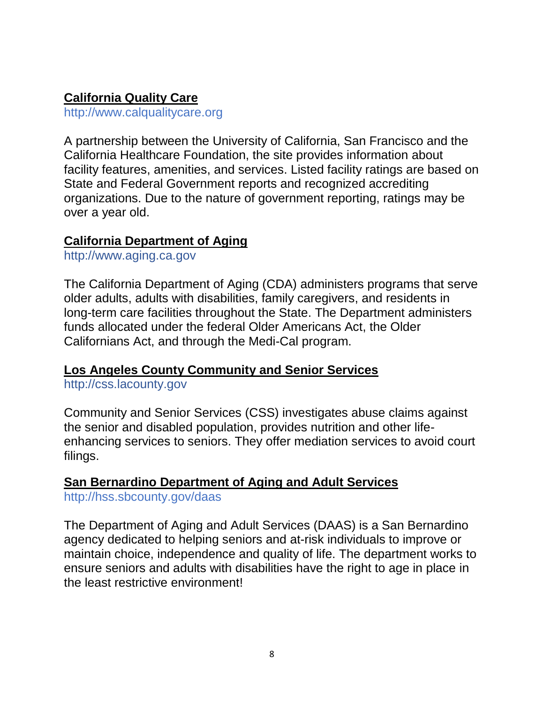### **California Quality Care**

http://www.calqualitycare.org

A partnership between the University of California, San Francisco and the California Healthcare Foundation, the site provides information about facility features, amenities, and services. Listed facility ratings are based on State and Federal Government reports and recognized accrediting organizations. Due to the nature of government reporting, ratings may be over a year old.

### **California Department of Aging**

http://www.aging.ca.gov

The California Department of Aging (CDA) administers programs that serve older adults, adults with disabilities, family caregivers, and residents in long-term care facilities throughout the State. The Department administers funds allocated under the federal Older Americans Act, the Older Californians Act, and through the Medi-Cal program.

### **Los Angeles County Community and Senior Services**

http://css.lacounty.gov

Community and Senior Services (CSS) investigates abuse claims against the senior and disabled population, provides nutrition and other lifeenhancing services to seniors. They offer mediation services to avoid court filings.

### **San Bernardino Department of Aging and Adult Services**

http://hss.sbcounty.gov/daas

The Department of Aging and Adult Services (DAAS) is a San Bernardino agency dedicated to helping seniors and at-risk individuals to improve or maintain choice, independence and quality of life. The department works to ensure seniors and adults with disabilities have the right to age in place in the least restrictive environment!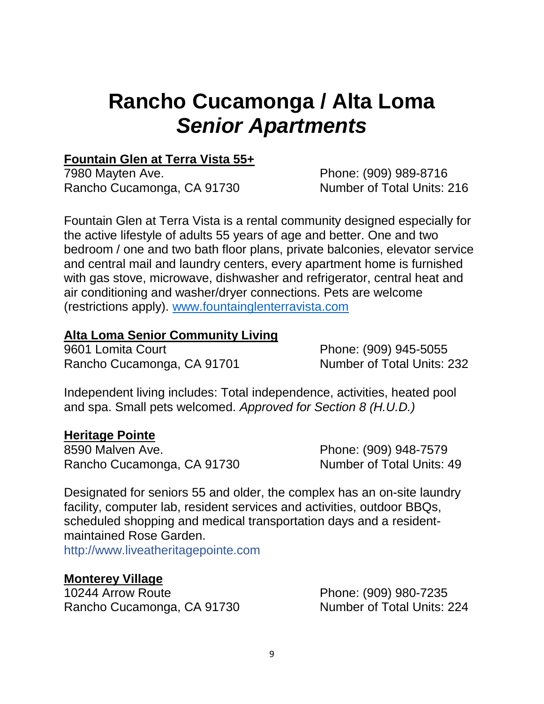# **Rancho Cucamonga / Alta Loma** *Senior Apartments*

### **Fountain Glen at Terra Vista 55+**

7980 Mayten Ave. **Phone: (909) 989-8716** Rancho Cucamonga, CA 91730 Number of Total Units: 216

Fountain Glen at Terra Vista is a rental community designed especially for the active lifestyle of adults 55 years of age and better. One and two bedroom / one and two bath floor plans, private balconies, elevator service and central mail and laundry centers, every apartment home is furnished with gas stove, microwave, dishwasher and refrigerator, central heat and air conditioning and washer/dryer connections. Pets are welcome (restrictions apply). [www.fountainglenterravista.com](http://www.fountainglenterravista.com/)

### **Alta Loma Senior Community Living**

9601 Lomita Court **Phone: (909) 945-5055** Rancho Cucamonga, CA 91701 Number of Total Units: 232

Independent living includes: Total independence, activities, heated pool and spa. Small pets welcomed. *Approved for Section 8 (H.U.D.)* 

### **Heritage Pointe**

8590 Malven Ave. **Phone: (909) 948-7579** Rancho Cucamonga, CA 91730 Number of Total Units: 49

Designated for seniors 55 and older, the complex has an on-site laundry facility, computer lab, resident services and activities, outdoor BBQs, scheduled shopping and medical transportation days and a residentmaintained Rose Garden.

http://www.liveatheritagepointe.com

### **Monterey Village**

10244 Arrow Route Phone: (909) 980-7235 Rancho Cucamonga, CA 91730 Number of Total Units: 224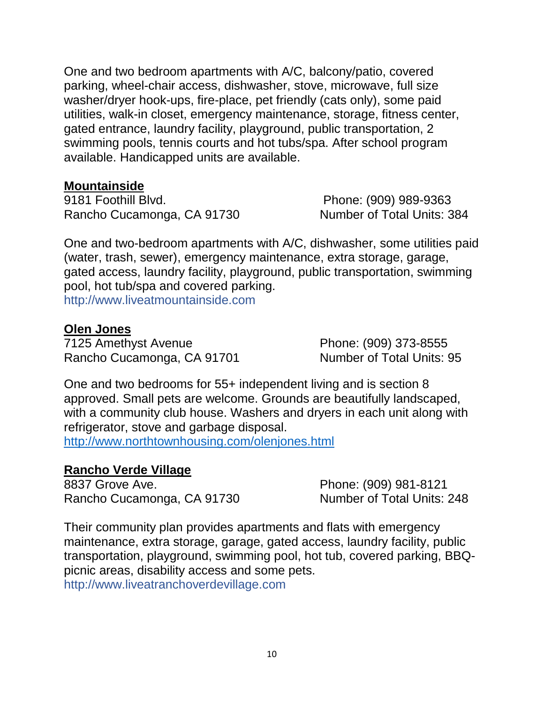One and two bedroom apartments with A/C, balcony/patio, covered parking, wheel-chair access, dishwasher, stove, microwave, full size washer/dryer hook-ups, fire-place, pet friendly (cats only), some paid utilities, walk-in closet, emergency maintenance, storage, fitness center, gated entrance, laundry facility, playground, public transportation, 2 swimming pools, tennis courts and hot tubs/spa. After school program available. Handicapped units are available.

### **Mountainside**

9181 Foothill Blvd. Phone: (909) 989-9363 Rancho Cucamonga, CA 91730 Number of Total Units: 384

One and two-bedroom apartments with A/C, dishwasher, some utilities paid (water, trash, sewer), emergency maintenance, extra storage, garage, gated access, laundry facility, playground, public transportation, swimming pool, hot tub/spa and covered parking. http://www.liveatmountainside.com

### **Olen Jones**

7125 Amethyst Avenue Phone: (909) 373-8555 Rancho Cucamonga, CA 91701 Number of Total Units: 95

One and two bedrooms for 55+ independent living and is section 8 approved. Small pets are welcome. Grounds are beautifully landscaped, with a community club house. Washers and dryers in each unit along with refrigerator, stove and garbage disposal.

<http://www.northtownhousing.com/olenjones.html>

### **Rancho Verde Village**

8837 Grove Ave. 2010 12:00:00 Phone: (909) 981-8121 Rancho Cucamonga, CA 91730 Number of Total Units: 248

Their community plan provides apartments and flats with emergency maintenance, extra storage, garage, gated access, laundry facility, public transportation, playground, swimming pool, hot tub, covered parking, BBQpicnic areas, disability access and some pets. http://www.liveatranchoverdevillage.com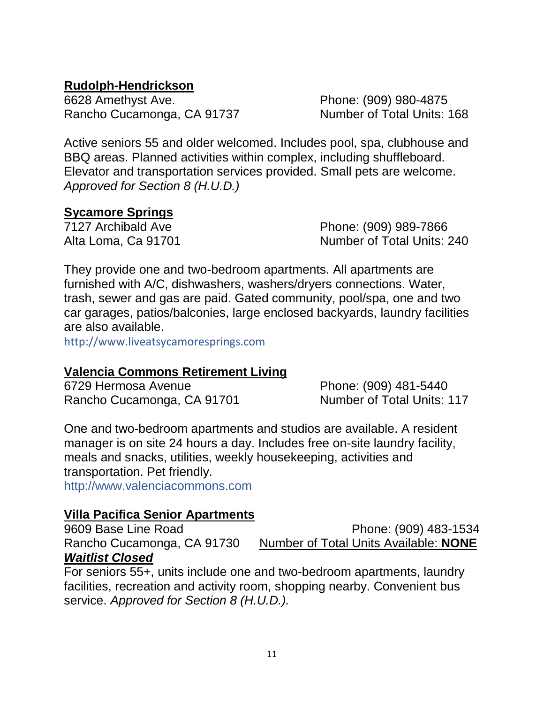### **Rudolph-Hendrickson**

6628 Amethyst Ave. Phone: (909) 980-4875 Rancho Cucamonga, CA 91737 Number of Total Units: 168

Active seniors 55 and older welcomed. Includes pool, spa, clubhouse and BBQ areas. Planned activities within complex, including shuffleboard. Elevator and transportation services provided. Small pets are welcome. *Approved for Section 8 (H.U.D.)*

### **Sycamore Springs**

7127 Archibald Ave Phone: (909) 989-7866 Alta Loma, Ca 91701 Number of Total Units: 240

They provide one and two-bedroom apartments. All apartments are furnished with A/C, dishwashers, washers/dryers connections. Water, trash, sewer and gas are paid. Gated community, pool/spa, one and two car garages, patios/balconies, large enclosed backyards, laundry facilities are also available.

http://www.liveatsycamoresprings.com

### **Valencia Commons Retirement Living**

6729 Hermosa Avenue Phone: (909) 481-5440 Rancho Cucamonga, CA 91701 Number of Total Units: 117

One and two-bedroom apartments and studios are available. A resident manager is on site 24 hours a day. Includes free on-site laundry facility, meals and snacks, utilities, weekly housekeeping, activities and transportation. Pet friendly.

http://www.valenciacommons.com

### **Villa Pacifica Senior Apartments**

9609 Base Line Road Phone: (909) 483-1534 Rancho Cucamonga, CA 91730 Number of Total Units Available: **NONE** *Waitlist Closed*

For seniors 55+, units include one and two-bedroom apartments, laundry facilities, recreation and activity room, shopping nearby. Convenient bus service. *Approved for Section 8 (H.U.D.).*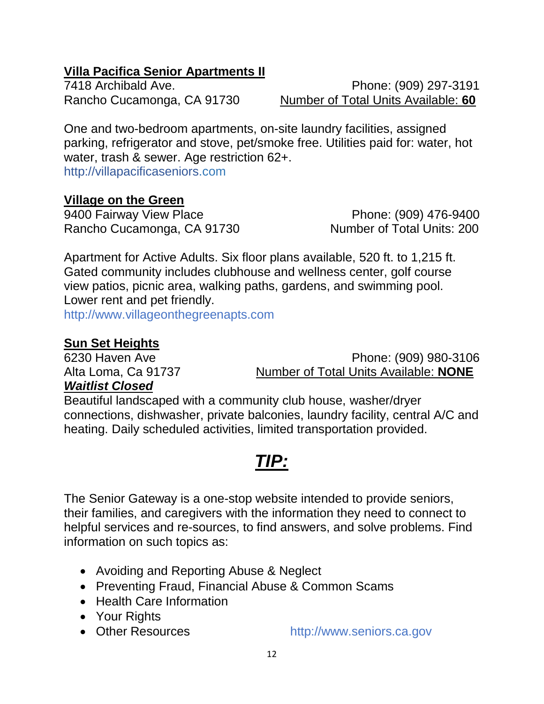### **Villa Pacifica Senior Apartments II**

7418 Archibald Ave. Phone: (909) 297-3191 Rancho Cucamonga, CA 91730 Number of Total Units Available: **60**

One and two-bedroom apartments, on-site laundry facilities, assigned parking, refrigerator and stove, pet/smoke free. Utilities paid for: water, hot water, trash & sewer. Age restriction 62+. http://villapacificaseniors.com

### **Village on the Green**

9400 Fairway View Place Phone: (909) 476-9400 Rancho Cucamonga, CA 91730 Number of Total Units: 200

Apartment for Active Adults. Six floor plans available, 520 ft. to 1,215 ft. Gated community includes clubhouse and wellness center, golf course view patios, picnic area, walking paths, gardens, and swimming pool. Lower rent and pet friendly.

http://www.villageonthegreenapts.com

### **Sun Set Heights**

6230 Haven Ave Phone: (909) 980-3106 Alta Loma, Ca 91737 Number of Total Units Available: **NONE**

### *Waitlist Closed*

Beautiful landscaped with a community club house, washer/dryer connections, dishwasher, private balconies, laundry facility, central A/C and heating. Daily scheduled activities, limited transportation provided.

### *TIP:*

The Senior Gateway is a one-stop website intended to provide seniors, their families, and caregivers with the information they need to connect to helpful services and re-sources, to find answers, and solve problems. Find information on such topics as:

- Avoiding and Reporting Abuse & Neglect
- Preventing Fraud, Financial Abuse & Common Scams
- Health Care Information
- Your Rights
- 

• Other Resources http://www.seniors.ca.gov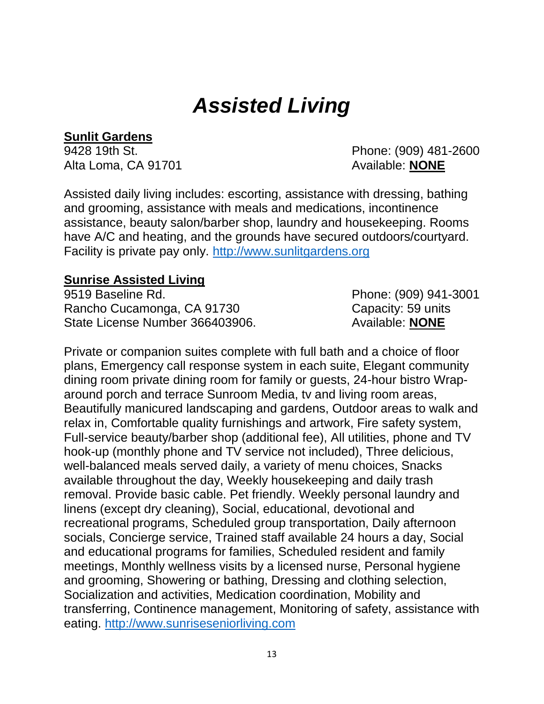# *Assisted Living*

### **Sunlit Gardens**

Alta Loma, CA 91701 **Alta Loma, CA 91701 Available: NONE** 

9428 19th St. Phone: (909) 481-2600

Assisted daily living includes: escorting, assistance with dressing, bathing and grooming, assistance with meals and medications, incontinence assistance, beauty salon/barber shop, laundry and housekeeping. Rooms have A/C and heating, and the grounds have secured outdoors/courtyard. Facility is private pay only. [http://www.sunlitgardens.org](http://www.sunlitgardens.org/)

### **Sunrise Assisted Living**

9519 Baseline Rd. Phone: (909) 941-3001 Rancho Cucamonga, CA 91730 Capacity: 59 units State License Number 366403906. Available: **NONE** 

Private or companion suites complete with full bath and a choice of floor plans, Emergency call response system in each suite, Elegant community dining room private dining room for family or guests, 24-hour bistro Wraparound porch and terrace Sunroom Media, tv and living room areas, Beautifully manicured landscaping and gardens, Outdoor areas to walk and relax in, Comfortable quality furnishings and artwork, Fire safety system, Full-service beauty/barber shop (additional fee), All utilities, phone and TV hook-up (monthly phone and TV service not included), Three delicious, well-balanced meals served daily, a variety of menu choices, Snacks available throughout the day, Weekly housekeeping and daily trash removal. Provide basic cable. Pet friendly. Weekly personal laundry and linens (except dry cleaning), Social, educational, devotional and recreational programs, Scheduled group transportation, Daily afternoon socials, Concierge service, Trained staff available 24 hours a day, Social and educational programs for families, Scheduled resident and family meetings, Monthly wellness visits by a licensed nurse, Personal hygiene and grooming, Showering or bathing, Dressing and clothing selection, Socialization and activities, Medication coordination, Mobility and transferring, Continence management, Monitoring of safety, assistance with eating. [http://www.sunriseseniorliving.com](http://www.sunriseseniorliving.com/)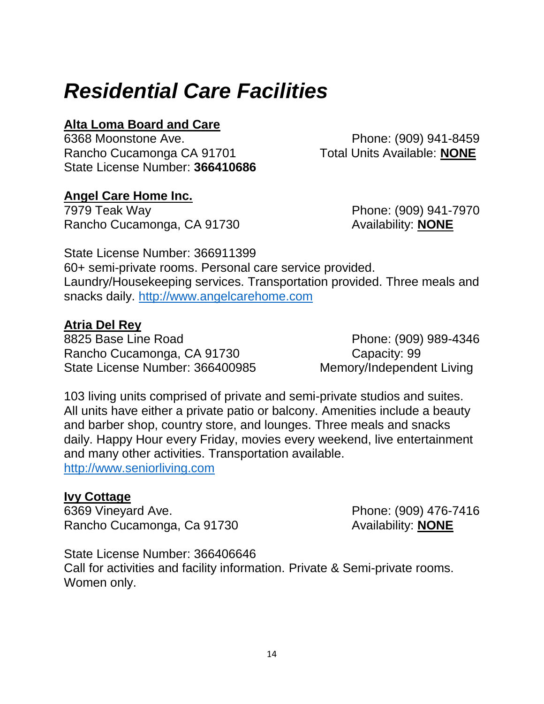# *Residential Care Facilities*

### **Alta Loma Board and Care**

6368 Moonstone Ave. Phone: (909) 941-8459 Rancho Cucamonga CA 91701 Total Units Available: **NONE** State License Number: **366410686** 

### **Angel Care Home Inc.**

7979 Teak Way Phone: (909) 941-7970 Rancho Cucamonga, CA 91730 Availability: **NONE** 

State License Number: 366911399 60+ semi-private rooms. Personal care service provided. Laundry/Housekeeping services. Transportation provided. Three meals and snacks daily. [http://www.angelcarehome.com](http://www.angelcarehome.com/)

### **Atria Del Rey**

8825 Base Line Road Phone: (909) 989-4346 Rancho Cucamonga, CA 91730 Capacity: 99 State License Number: 366400985 Memory/Independent Living

103 living units comprised of private and semi-private studios and suites. All units have either a private patio or balcony. Amenities include a beauty and barber shop, country store, and lounges. Three meals and snacks daily. Happy Hour every Friday, movies every weekend, live entertainment and many other activities. Transportation available. [http://www.seniorliving.com](http://www.seniorliving.com/)

### **Ivy Cottage**

6369 Vineyard Ave. Phone: (909) 476-7416 Rancho Cucamonga, Ca 91730 Availability: **NONE** 

State License Number: 366406646 Call for activities and facility information. Private & Semi-private rooms. Women only.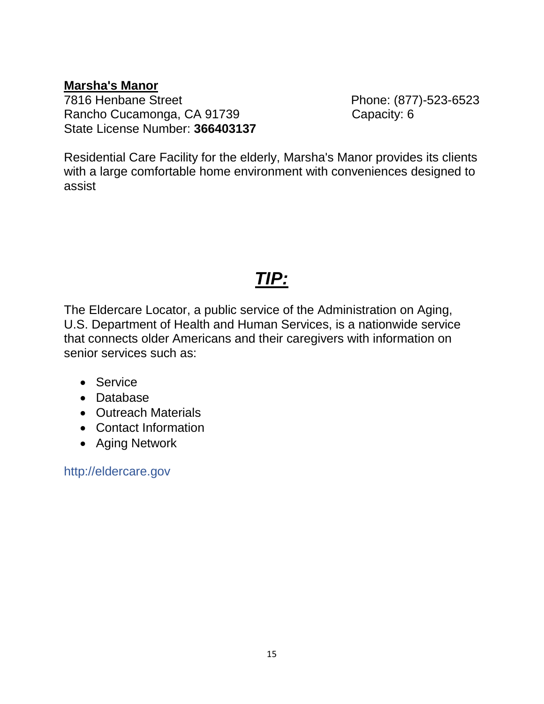**Marsha's Manor** Rancho Cucamonga, CA 91739 Capacity: 6 State License Number: **366403137** 

Phone: (877)-523-6523

Residential Care Facility for the elderly, Marsha's Manor provides its clients with a large comfortable home environment with conveniences designed to assist

### *TIP:*

The Eldercare Locator, a public service of the Administration on Aging, U.S. Department of Health and Human Services, is a nationwide service that connects older Americans and their caregivers with information on senior services such as:

- Service
- Database
- Outreach Materials
- Contact Information
- Aging Network

http://eldercare.gov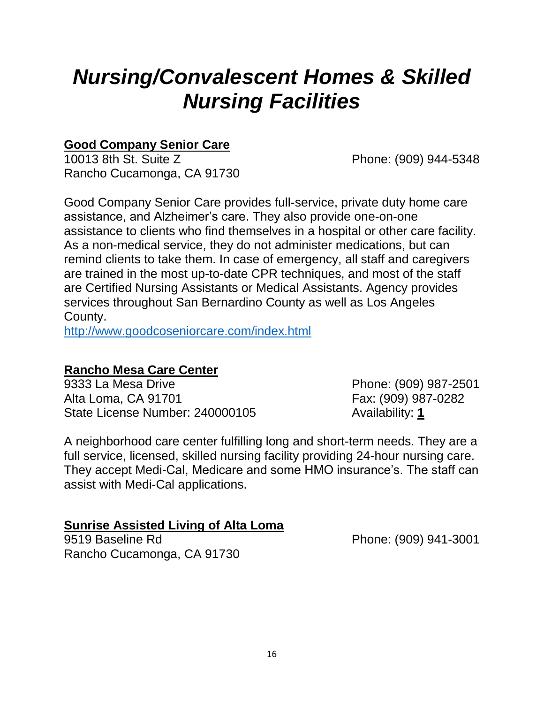# *Nursing/Convalescent Homes & Skilled Nursing Facilities*

### **Good Company Senior Care**

10013 8th St. Suite Z Phone: (909) 944-5348 Rancho Cucamonga, CA 91730

Good Company Senior Care provides full-service, private duty home care assistance, and Alzheimer's care. They also provide one-on-one assistance to clients who find themselves in a hospital or other care facility. As a non-medical service, they do not administer medications, but can remind clients to take them. In case of emergency, all staff and caregivers are trained in the most up-to-date CPR techniques, and most of the staff are Certified Nursing Assistants or Medical Assistants. Agency provides services throughout San Bernardino County as well as Los Angeles County.

<http://www.goodcoseniorcare.com/index.html>

### **Rancho Mesa Care Center**

9333 La Mesa Drive **Phone: (909) 987-2501** Alta Loma, CA 91701 Fax: (909) 987-0282 State License Number: 240000105 Availability: 1

A neighborhood care center fulfilling long and short-term needs. They are a full service, licensed, skilled nursing facility providing 24-hour nursing care. They accept Medi-Cal, Medicare and some HMO insurance's. The staff can assist with Medi-Cal applications.

### **Sunrise Assisted Living of Alta Loma**

9519 Baseline Rd Phone: (909) 941-3001 Rancho Cucamonga, CA 91730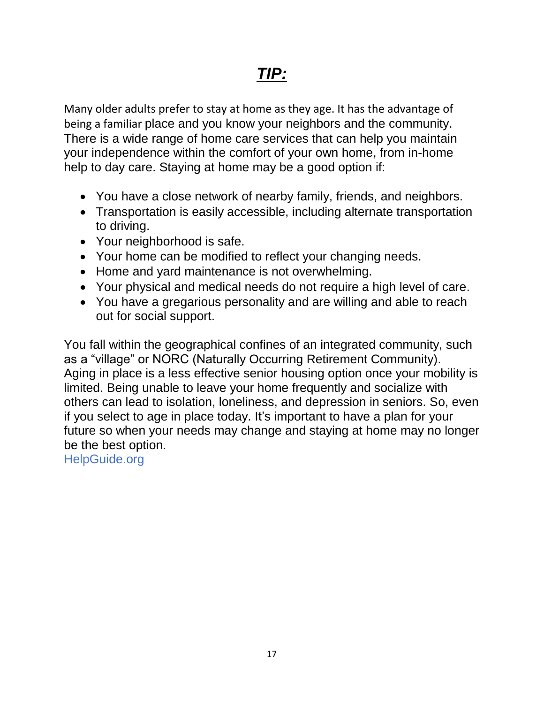Many older adults prefer to stay at home as they age. It has the advantage of being a familiar place and you know your neighbors and the community. There is a wide range of home care services that can help you maintain your independence within the comfort of your own home, from in-home help to day care. Staying at home may be a good option if:

- You have a close network of nearby family, friends, and neighbors.
- Transportation is easily accessible, including alternate transportation to driving.
- Your neighborhood is safe.
- Your home can be modified to reflect your changing needs.
- Home and yard maintenance is not overwhelming.
- Your physical and medical needs do not require a high level of care.
- You have a gregarious personality and are willing and able to reach out for social support.

You fall within the geographical confines of an integrated community, such as a "village" or NORC (Naturally Occurring Retirement Community). Aging in place is a less effective senior housing option once your mobility is limited. Being unable to leave your home frequently and socialize with others can lead to isolation, loneliness, and depression in seniors. So, even if you select to age in place today. It's important to have a plan for your future so when your needs may change and staying at home may no longer be the best option.

HelpGuide.org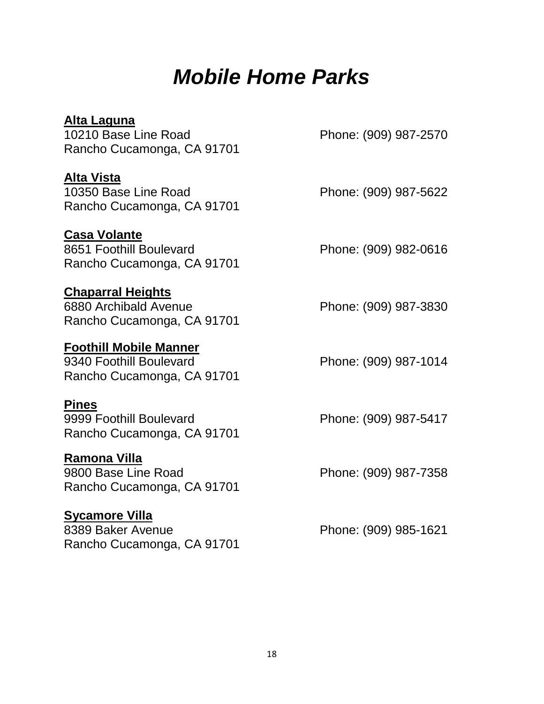# *Mobile Home Parks*

| Alta Laguna<br>10210 Base Line Road<br>Rancho Cucamonga, CA 91701                      | Phone: (909) 987-2570 |
|----------------------------------------------------------------------------------------|-----------------------|
| <b>Alta Vista</b><br>10350 Base Line Road<br>Rancho Cucamonga, CA 91701                | Phone: (909) 987-5622 |
| <b>Casa Volante</b><br>8651 Foothill Boulevard<br>Rancho Cucamonga, CA 91701           | Phone: (909) 982-0616 |
| <b>Chaparral Heights</b><br>6880 Archibald Avenue<br>Rancho Cucamonga, CA 91701        | Phone: (909) 987-3830 |
| <b>Foothill Mobile Manner</b><br>9340 Foothill Boulevard<br>Rancho Cucamonga, CA 91701 | Phone: (909) 987-1014 |
| <b>Pines</b><br>9999 Foothill Boulevard<br>Rancho Cucamonga, CA 91701                  | Phone: (909) 987-5417 |
| Ramona Villa<br>9800 Base Line Road<br>Rancho Cucamonga, CA 91701                      | Phone: (909) 987-7358 |
| <b>Sycamore Villa</b><br>8389 Baker Avenue<br>Rancho Cucamonga, CA 91701               | Phone: (909) 985-1621 |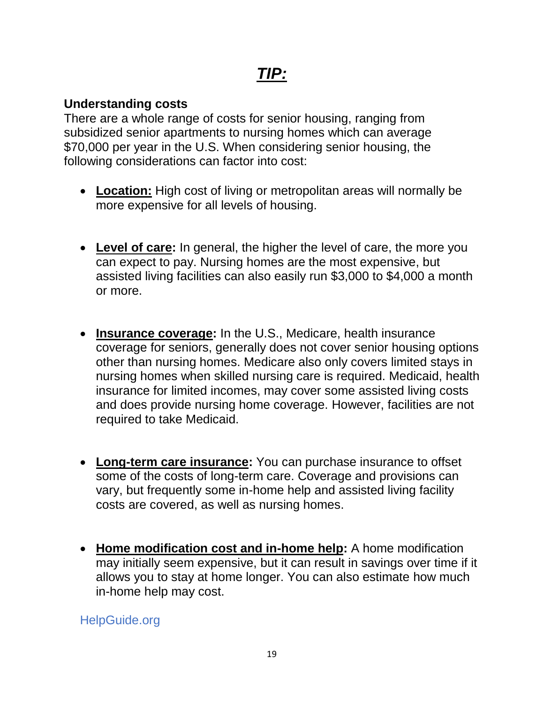### **Understanding costs**

There are a whole range of costs for senior housing, ranging from subsidized senior apartments to nursing homes which can average \$70,000 per year in the U.S. When considering senior housing, the following considerations can factor into cost:

- **Location:** High cost of living or metropolitan areas will normally be more expensive for all levels of housing.
- **Level of care:** In general, the higher the level of care, the more you can expect to pay. Nursing homes are the most expensive, but assisted living facilities can also easily run \$3,000 to \$4,000 a month or more.
- **Insurance coverage:** In the U.S., Medicare, health insurance coverage for seniors, generally does not cover senior housing options other than nursing homes. Medicare also only covers limited stays in nursing homes when skilled nursing care is required. Medicaid, health insurance for limited incomes, may cover some assisted living costs and does provide nursing home coverage. However, facilities are not required to take Medicaid.
- **Long-term care insurance:** You can purchase insurance to offset some of the costs of long-term care. Coverage and provisions can vary, but frequently some in-home help and assisted living facility costs are covered, as well as nursing homes.
- **Home modification cost and in-home help:** A home modification may initially seem expensive, but it can result in savings over time if it allows you to stay at home longer. You can also estimate how much in-home help may cost.

HelpGuide.org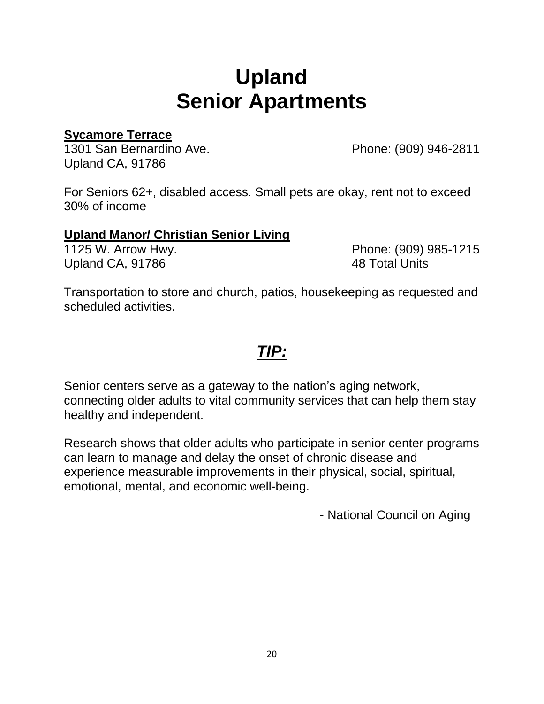# **Upland Senior Apartments**

### **Sycamore Terrace**

1301 San Bernardino Ave. Phone: (909) 946-2811 Upland CA, 91786

For Seniors 62+, disabled access. Small pets are okay, rent not to exceed 30% of income

### **Upland Manor/ Christian Senior Living**

Upland CA, 91786 48 Total Units

1125 W. Arrow Hwy. Phone: (909) 985-1215

Transportation to store and church, patios, housekeeping as requested and scheduled activities.

### *TIP:*

Senior centers serve as a gateway to the nation's aging network, connecting older adults to vital community services that can help them stay healthy and independent.

Research shows that older adults who participate in senior center programs can learn to manage and delay the onset of chronic disease and experience measurable improvements in their physical, social, spiritual, emotional, mental, and economic well-being.

- National Council on Aging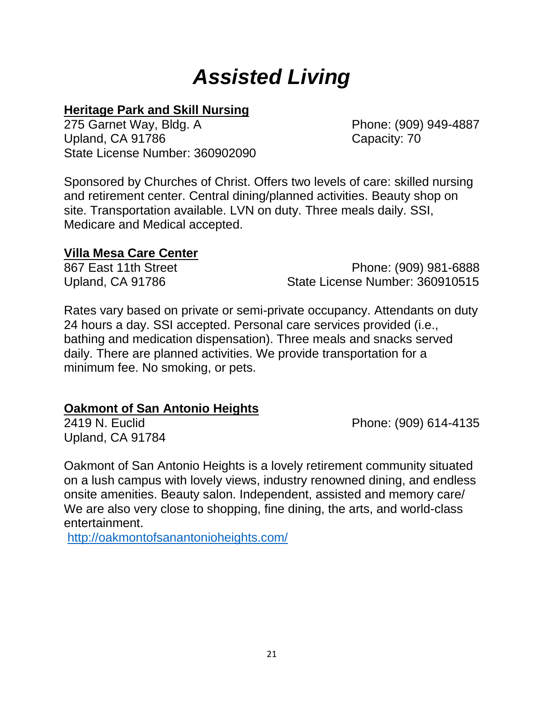# *Assisted Living*

### **Heritage Park and Skill Nursing**

275 Garnet Way, Bldg. A Phone: (909) 949-4887 Upland, CA 91786 Capacity: 70 State License Number: 360902090

Sponsored by Churches of Christ. Offers two levels of care: skilled nursing and retirement center. Central dining/planned activities. Beauty shop on site. Transportation available. LVN on duty. Three meals daily. SSI, Medicare and Medical accepted.

### **Villa Mesa Care Center**

867 East 11th Street **Phone: (909) 981-6888** Upland, CA 91786 State License Number: 360910515

Rates vary based on private or semi-private occupancy. Attendants on duty 24 hours a day. SSI accepted. Personal care services provided (i.e., bathing and medication dispensation). Three meals and snacks served daily. There are planned activities. We provide transportation for a minimum fee. No smoking, or pets.

### **Oakmont of San Antonio Heights**

Upland, CA 91784

2419 N. Euclid Phone: (909) 614-4135

Oakmont of San Antonio Heights is a lovely retirement community situated on a lush campus with lovely views, industry renowned dining, and endless onsite amenities. Beauty salon. Independent, assisted and memory care/ We are also very close to shopping, fine dining, the arts, and world-class entertainment.

<http://oakmontofsanantonioheights.com/>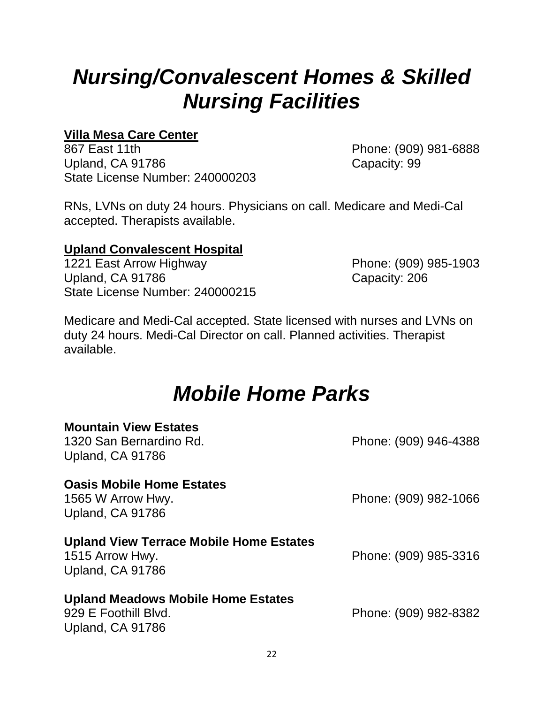# *Nursing/Convalescent Homes & Skilled Nursing Facilities*

### **Villa Mesa Care Center**

867 East 11th **Phone: (909) 981-6888** Upland, CA 91786 Capacity: 99 State License Number: 240000203

RNs, LVNs on duty 24 hours. Physicians on call. Medicare and Medi-Cal accepted. Therapists available.

### **Upland Convalescent Hospital**

1221 East Arrow Highway Phone: (909) 985-1903 Upland, CA 91786 Capacity: 206 State License Number: 240000215

Medicare and Medi-Cal accepted. State licensed with nurses and LVNs on duty 24 hours. Medi-Cal Director on call. Planned activities. Therapist available.

### *Mobile Home Parks*

| <b>Mountain View Estates</b><br>1320 San Bernardino Rd.<br>Upland, CA 91786           | Phone: (909) 946-4388 |
|---------------------------------------------------------------------------------------|-----------------------|
| <b>Oasis Mobile Home Estates</b><br>1565 W Arrow Hwy.<br>Upland, CA 91786             | Phone: (909) 982-1066 |
| <b>Upland View Terrace Mobile Home Estates</b><br>1515 Arrow Hwy.<br>Upland, CA 91786 | Phone: (909) 985-3316 |
| <b>Upland Meadows Mobile Home Estates</b><br>929 E Foothill Blvd.<br>Upland, CA 91786 | Phone: (909) 982-8382 |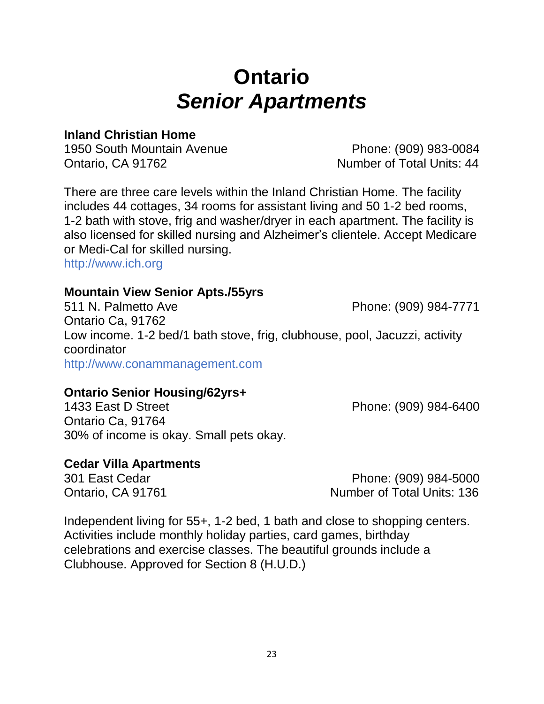### 23

# **Ontario** *Senior Apartments*

### **Inland Christian Home**

1950 South Mountain Avenue Phone: (909) 983-0084 Ontario, CA 91762 Christian Canada Number of Total Units: 44

There are three care levels within the Inland Christian Home. The facility includes 44 cottages, 34 rooms for assistant living and 50 1-2 bed rooms, 1-2 bath with stove, frig and washer/dryer in each apartment. The facility is also licensed for skilled nursing and Alzheimer's clientele. Accept Medicare or Medi-Cal for skilled nursing.

http://www.ich.org

### **Mountain View Senior Apts./55yrs**

511 N. Palmetto Ave Phone: (909) 984-7771 Ontario Ca, 91762 Low income. 1-2 bed/1 bath stove, frig, clubhouse, pool, Jacuzzi, activity coordinator http://www.conammanagement.com

### **Ontario Senior Housing/62yrs+**

1433 East D Street **Phone: (909) 984-6400** Ontario Ca, 91764 30% of income is okay. Small pets okay.

### **Cedar Villa Apartments**

301 East Cedar Phone: (909) 984-5000 Ontario, CA 91761 Number of Total Units: 136

Independent living for 55+, 1-2 bed, 1 bath and close to shopping centers. Activities include monthly holiday parties, card games, birthday celebrations and exercise classes. The beautiful grounds include a Clubhouse. Approved for Section 8 (H.U.D.)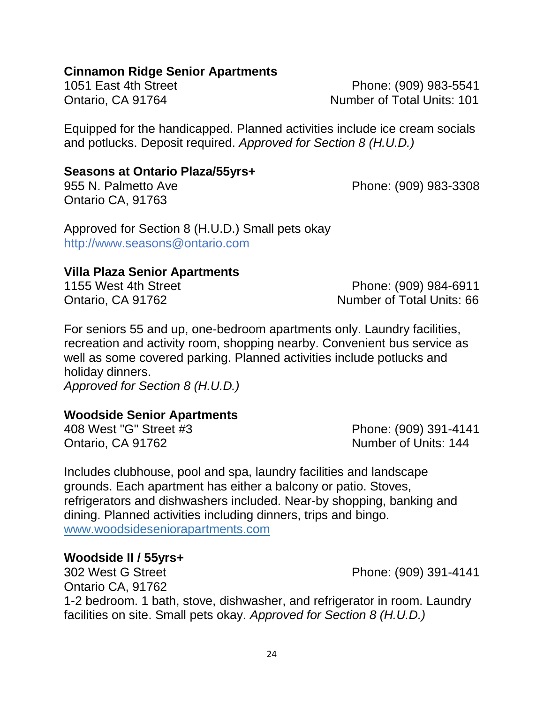### **Cinnamon Ridge Senior Apartments**

1051 East 4th Street **Phone: (909) 983-5541** Ontario, CA 91764 Number of Total Units: 101

Equipped for the handicapped. Planned activities include ice cream socials and potlucks. Deposit required. *Approved for Section 8 (H.U.D.)* 

### **Seasons at Ontario Plaza/55yrs+**

955 N. Palmetto Ave **Phone: (909) 983-3308** Ontario CA, 91763

Approved for Section 8 (H.U.D.) Small pets okay http://www.seasons@ontario.com

### **Villa Plaza Senior Apartments**

1155 West 4th Street **Phone: (909) 984-6911** Ontario, CA 91762 Number of Total Units: 66

For seniors 55 and up, one-bedroom apartments only. Laundry facilities, recreation and activity room, shopping nearby. Convenient bus service as well as some covered parking. Planned activities include potlucks and holiday dinners.

*Approved for Section 8 (H.U.D.)* 

### **Woodside Senior Apartments**

Ontario, CA 91762 Number of Units: 144

408 West "G" Street #3 Phone: (909) 391-4141

Includes clubhouse, pool and spa, laundry facilities and landscape grounds. Each apartment has either a balcony or patio. Stoves, refrigerators and dishwashers included. Near-by shopping, banking and dining. Planned activities including dinners, trips and bingo. www.woodsideseniorapartments.com

### **Woodside II / 55yrs+**

302 West G Street Phone: (909) 391-4141 Ontario CA, 91762 1-2 bedroom. 1 bath, stove, dishwasher, and refrigerator in room. Laundry facilities on site. Small pets okay. *Approved for Section 8 (H.U.D.)*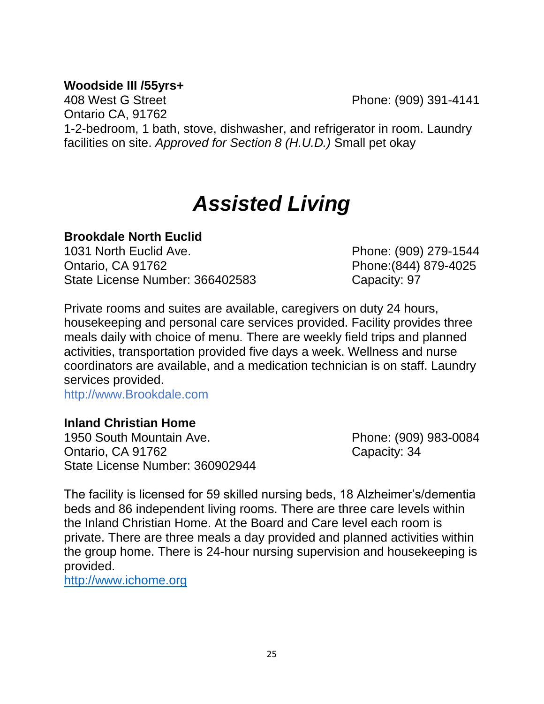### **Woodside III /55yrs+**

408 West G Street Phone: (909) 391-4141

Ontario CA, 91762

1-2-bedroom, 1 bath, stove, dishwasher, and refrigerator in room. Laundry facilities on site. *Approved for Section 8 (H.U.D.)* Small pet okay

# *Assisted Living*

### **Brookdale North Euclid**

1031 North Euclid Ave. Phone: (909) 279-1544 Ontario, CA 91762 **Phone:**(844) 879-4025 State License Number: 366402583

Private rooms and suites are available, caregivers on duty 24 hours, housekeeping and personal care services provided. Facility provides three meals daily with choice of menu. There are weekly field trips and planned activities, transportation provided five days a week. Wellness and nurse coordinators are available, and a medication technician is on staff. Laundry services provided.

http://www.Brookdale.com

### **Inland Christian Home**

1950 South Mountain Ave. Phone: (909) 983-0084 Ontario, CA 91762 Capacity: 34 State License Number: 360902944

The facility is licensed for 59 skilled nursing beds, 18 Alzheimer's/dementia beds and 86 independent living rooms. There are three care levels within the Inland Christian Home. At the Board and Care level each room is private. There are three meals a day provided and planned activities within the group home. There is 24-hour nursing supervision and housekeeping is provided.

[http://www.ichome.org](http://www.ichome.org/)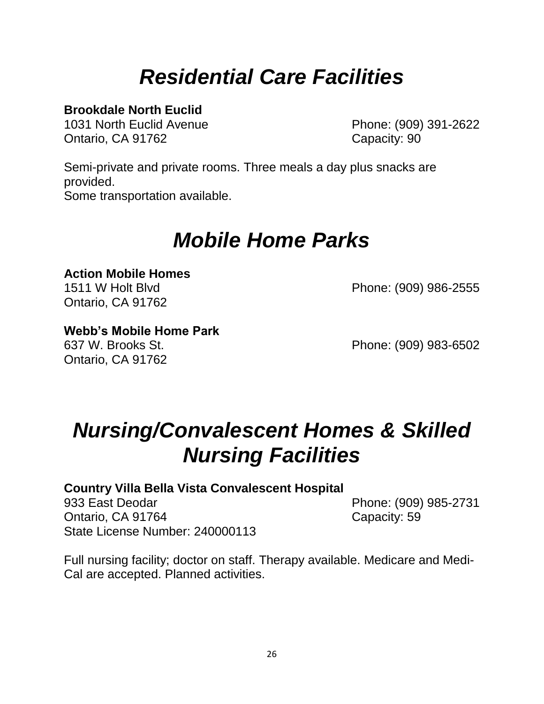# *Residential Care Facilities*

### **Brookdale North Euclid**

1031 North Euclid Avenue Phone: (909) 391-2622 Ontario, CA 91762 Capacity: 90

Semi-private and private rooms. Three meals a day plus snacks are provided. Some transportation available.

# *Mobile Home Parks*

# **Action Mobile Homes**

Ontario, CA 91762

1511 W Holt Blvd Phone: (909) 986-2555

### **Webb's Mobile Home Park**

Ontario, CA 91762

637 W. Brooks St. Phone: (909) 983-6502

# *Nursing/Convalescent Homes & Skilled Nursing Facilities*

### **Country Villa Bella Vista Convalescent Hospital**

933 East Deodar Phone: (909) 985-2731 Ontario, CA 91764 Capacity: 59 State License Number: 240000113

Full nursing facility; doctor on staff. Therapy available. Medicare and Medi-Cal are accepted. Planned activities.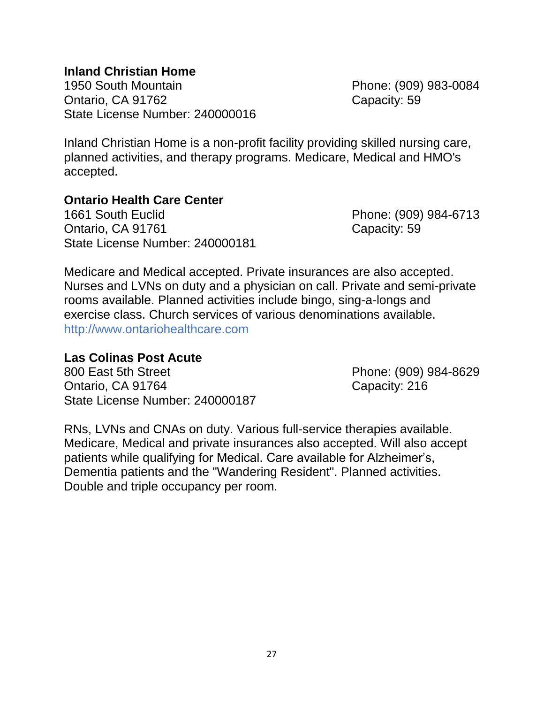### **Inland Christian Home**

1950 South Mountain Phone: (909) 983-0084 Ontario, CA 91762 Capacity: 59 State License Number: 240000016

Inland Christian Home is a non-profit facility providing skilled nursing care, planned activities, and therapy programs. Medicare, Medical and HMO's accepted.

### **Ontario Health Care Center**

1661 South Euclid Phone: (909) 984-6713 Ontario, CA 91761 Capacity: 59 State License Number: 240000181

Medicare and Medical accepted. Private insurances are also accepted. Nurses and LVNs on duty and a physician on call. Private and semi-private rooms available. Planned activities include bingo, sing-a-longs and exercise class. Church services of various denominations available. http://www.ontariohealthcare.com

### **Las Colinas Post Acute**

800 East 5th Street **Phone: (909) 984-8629** Ontario, CA 91764 Capacity: 216 State License Number: 240000187

RNs, LVNs and CNAs on duty. Various full-service therapies available. Medicare, Medical and private insurances also accepted. Will also accept patients while qualifying for Medical. Care available for Alzheimer's, Dementia patients and the "Wandering Resident". Planned activities. Double and triple occupancy per room.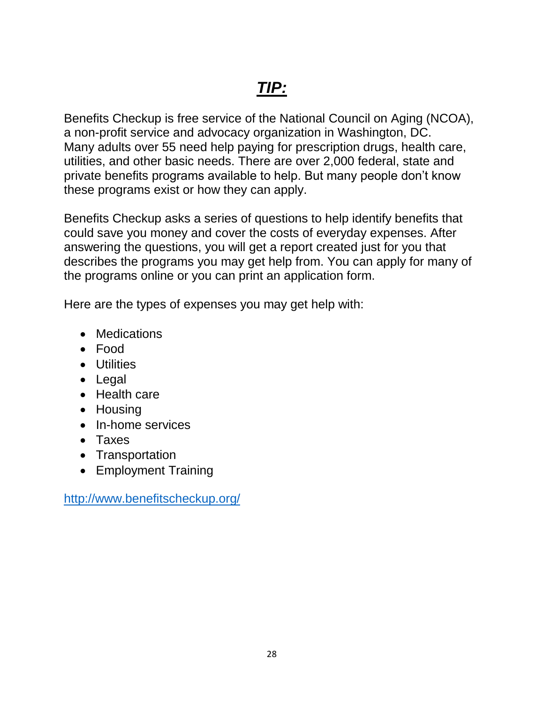Benefits Checkup is free service of the National Council on Aging (NCOA), a non-profit service and advocacy organization in Washington, DC. Many adults over 55 need help paying for prescription drugs, health care, utilities, and other basic needs. There are over 2,000 federal, state and private benefits programs available to help. But many people don't know these programs exist or how they can apply.

Benefits Checkup asks a series of questions to help identify benefits that could save you money and cover the costs of everyday expenses. After answering the questions, you will get a report created just for you that describes the programs you may get help from. You can apply for many of the programs online or you can print an application form.

Here are the types of expenses you may get help with:

- Medications
- Food
- Utilities
- Legal
- Health care
- Housing
- In-home services
- Taxes
- Transportation
- Employment Training

<http://www.benefitscheckup.org/>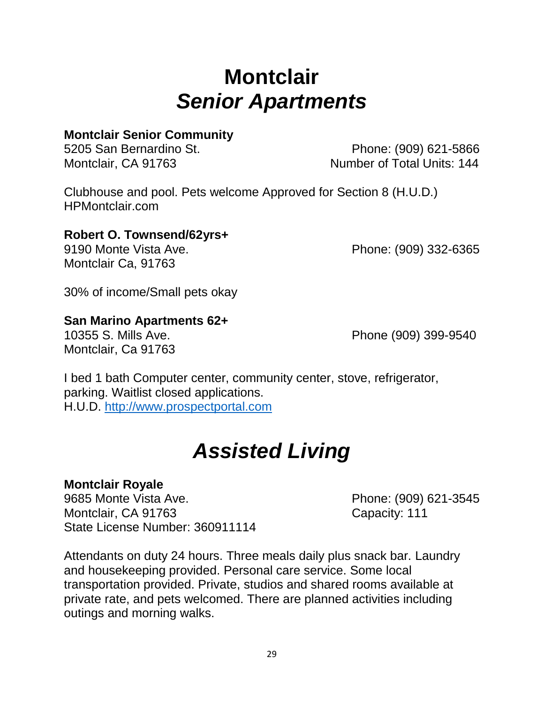# **Montclair** *Senior Apartments*

### **Montclair Senior Community**

5205 San Bernardino St. Phone: (909) 621-5866 Montclair, CA 91763 Montclair, CA 91763

Clubhouse and pool. Pets welcome Approved for Section 8 (H.U.D.) HPMontclair.com

### **Robert O. Townsend/62yrs+**

Montclair Ca, 91763

9190 Monte Vista Ave. Phone: (909) 332-6365

30% of income/Small pets okay

### **San Marino Apartments 62+**

Montclair, Ca 91763

10355 S. Mills Ave. Phone (909) 399-9540

I bed 1 bath Computer center, community center, stove, refrigerator, parking. Waitlist closed applications. H.U.D. [http://www.prospectportal.com](http://www.prospectportal.com/)

# *Assisted Living*

### **Montclair Royale**

9685 Monte Vista Ave. 2009) 621-3545 Montclair, CA 91763 Capacity: 111 State License Number: 360911114

Attendants on duty 24 hours. Three meals daily plus snack bar. Laundry and housekeeping provided. Personal care service. Some local transportation provided. Private, studios and shared rooms available at private rate, and pets welcomed. There are planned activities including outings and morning walks.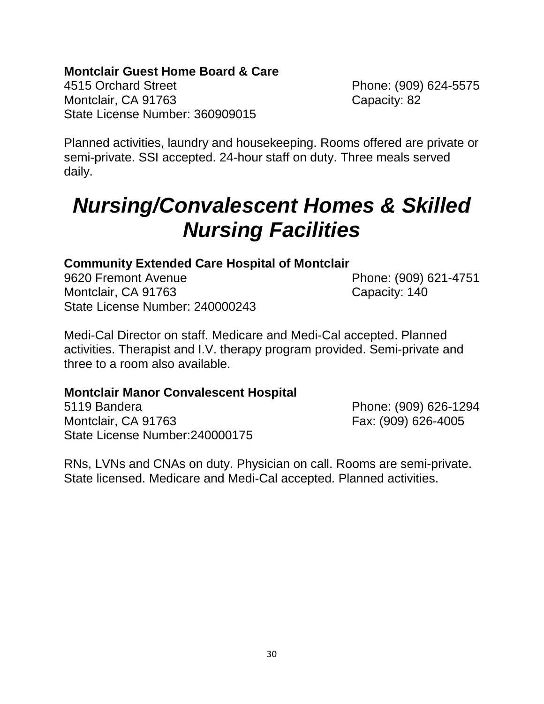### **Montclair Guest Home Board & Care**

4515 Orchard Street Phone: (909) 624-5575 Montclair, CA 91763 Capacity: 82 State License Number: 360909015

Planned activities, laundry and housekeeping. Rooms offered are private or semi-private. SSI accepted. 24-hour staff on duty. Three meals served daily.

# *Nursing/Convalescent Homes & Skilled Nursing Facilities*

### **Community Extended Care Hospital of Montclair**

9620 Fremont Avenue Phone: (909) 621-4751 Montclair, CA 91763 Capacity: 140 State License Number: 240000243

Medi-Cal Director on staff. Medicare and Medi-Cal accepted. Planned activities. Therapist and I.V. therapy program provided. Semi-private and three to a room also available.

### **Montclair Manor Convalescent Hospital**

5119 Bandera Phone: (909) 626-1294 Montclair, CA 91763 Fax: (909) 626-4005 State License Number:240000175

RNs, LVNs and CNAs on duty. Physician on call. Rooms are semi-private. State licensed. Medicare and Medi-Cal accepted. Planned activities.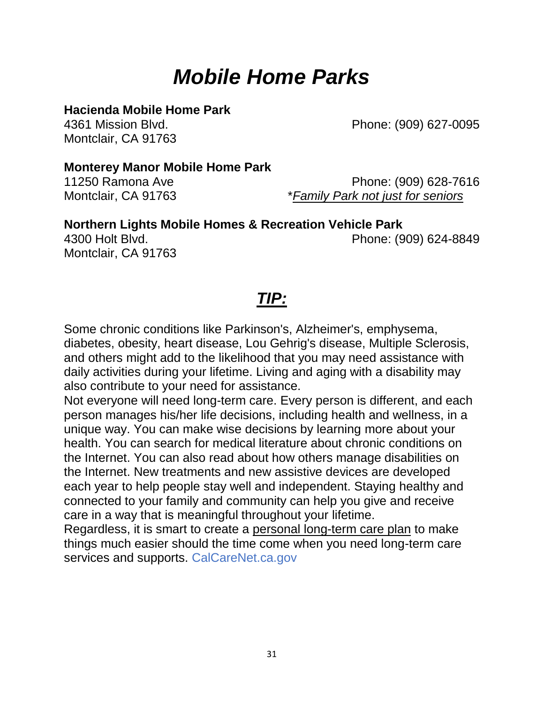# *Mobile Home Parks*

### **Hacienda Mobile Home Park**

Montclair, CA 91763

4361 Mission Blvd. Phone: (909) 627-0095

### **Monterey Manor Mobile Home Park**

Montclair, CA 91763

11250 Ramona Ave Phone: (909) 628-7616 Montclair, CA 91763 \**Family Park not just for seniors*

**Northern Lights Mobile Homes & Recreation Vehicle Park**  4300 Holt Blvd. Phone: (909) 624-8849

*TIP:* 

Some chronic conditions like Parkinson's, Alzheimer's, emphysema, diabetes, obesity, heart disease, Lou Gehrig's disease, Multiple Sclerosis, and others might add to the likelihood that you may need assistance with daily activities during your lifetime. Living and aging with a disability may also contribute to your need for assistance.

Not everyone will need long-term care. Every person is different, and each person manages his/her life decisions, including health and wellness, in a unique way. You can make wise decisions by learning more about your health. You can search for medical literature about chronic conditions on the Internet. You can also read about how others manage disabilities on the Internet. New treatments and new assistive devices are developed each year to help people stay well and independent. Staying healthy and connected to your family and community can help you give and receive care in a way that is meaningful throughout your lifetime.

Regardless, it is smart to create a personal long-term care plan to make things much easier should the time come when you need long-term care services and supports. CalCareNet.ca.gov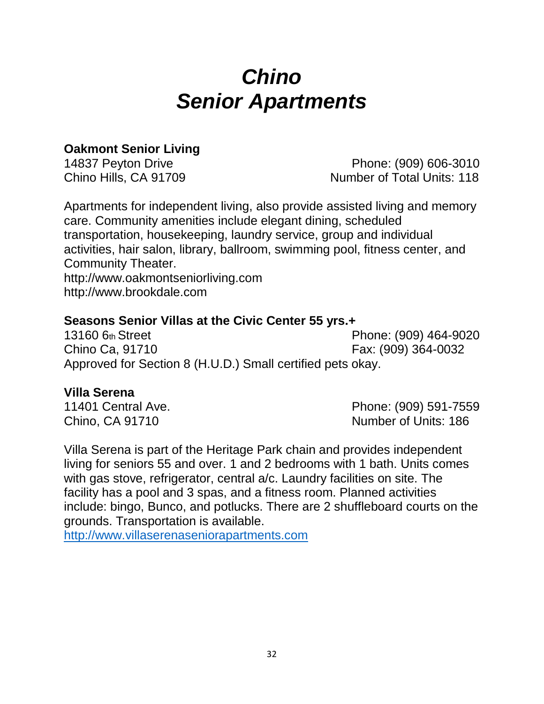# *Chino Senior Apartments*

### **Oakmont Senior Living**

14837 Peyton Drive Phone: (909) 606-3010 Chino Hills, CA 91709 Number of Total Units: 118

Apartments for independent living, also provide assisted living and memory care. Community amenities include elegant dining, scheduled transportation, housekeeping, laundry service, group and individual activities, hair salon, library, ballroom, swimming pool, fitness center, and Community Theater. http://www.oakmontseniorliving.com http://www.brookdale.com

### **Seasons Senior Villas at the Civic Center 55 yrs.+**

13160 6th Street Phone: (909) 464-9020 Chino Ca, 91710 **Fax: (909)** 364-0032 Approved for Section 8 (H.U.D.) Small certified pets okay.

### **Villa Serena**

11401 Central Ave. Phone: (909) 591-7559 Chino, CA 91710 Number of Units: 186

Villa Serena is part of the Heritage Park chain and provides independent living for seniors 55 and over. 1 and 2 bedrooms with 1 bath. Units comes with gas stove, refrigerator, central a/c. Laundry facilities on site. The facility has a pool and 3 spas, and a fitness room. Planned activities include: bingo, Bunco, and potlucks. There are 2 shuffleboard courts on the grounds. Transportation is available.

[http://www.villaserenaseniorapartments.com](http://www.villaserenaseniorapartments.com/)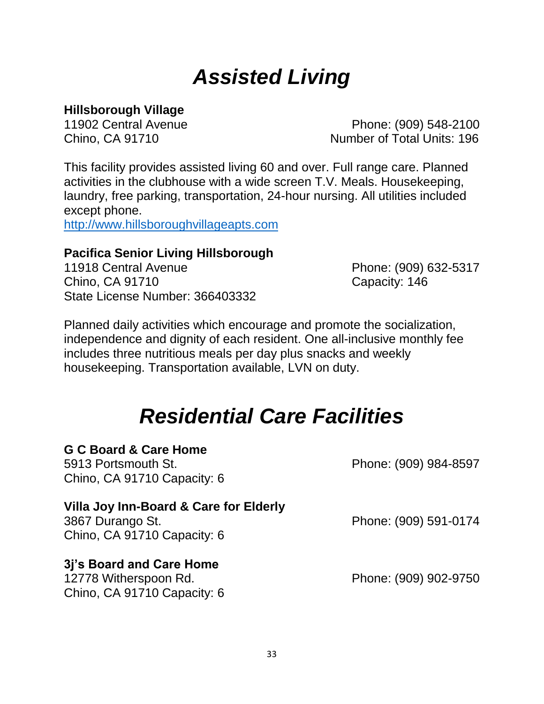# *Assisted Living*

### **Hillsborough Village**

11902 Central Avenue Phone: (909) 548-2100 Chino, CA 91710 Number of Total Units: 196

This facility provides assisted living 60 and over. Full range care. Planned activities in the clubhouse with a wide screen T.V. Meals. Housekeeping, laundry, free parking, transportation, 24-hour nursing. All utilities included except phone.

[http://www.hillsboroughvillageapts.com](http://www.hillsboroughvillageapts.com/)

### **Pacifica Senior Living Hillsborough**

11918 Central Avenue Phone: (909) 632-5317 Chino, CA 91710 Chino, Capacity: 146 State License Number: 366403332

Planned daily activities which encourage and promote the socialization, independence and dignity of each resident. One all-inclusive monthly fee includes three nutritious meals per day plus snacks and weekly housekeeping. Transportation available, LVN on duty.

### *Residential Care Facilities*

### **G C Board & Care Home**

5913 Portsmouth St. Phone: (909) 984-8597 Chino, CA 91710 Capacity: 6

### **Villa Joy Inn-Board & Care for Elderly**

3867 Durango St. Phone: (909) 591-0174 Chino, CA 91710 Capacity: 6

### **3j's Board and Care Home**

12778 Witherspoon Rd. Phone: (909) 902-9750 Chino, CA 91710 Capacity: 6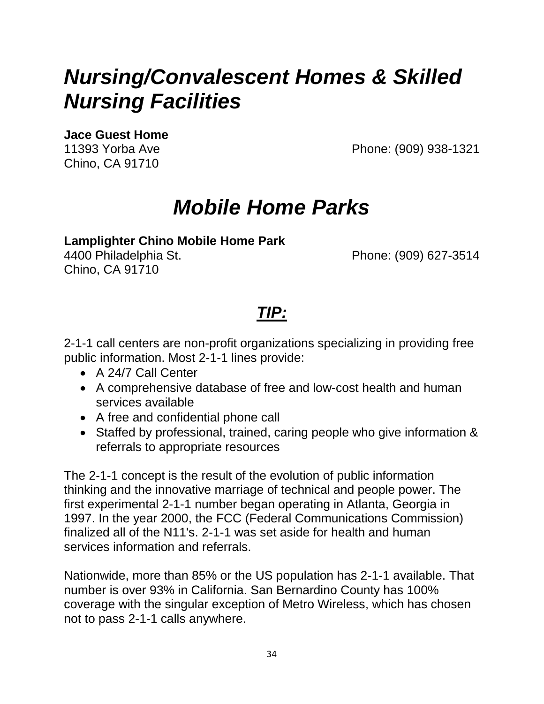# *Nursing/Convalescent Homes & Skilled Nursing Facilities*

**Jace Guest Home** 

Chino, CA 91710

11393 Yorba Ave Phone: (909) 938-1321

# *Mobile Home Parks*

### **Lamplighter Chino Mobile Home Park**

Chino, CA 91710

4400 Philadelphia St. Phone: (909) 627-3514

### *TIP:*

2-1-1 call centers are non-profit organizations specializing in providing free public information. Most 2-1-1 lines provide:

- A 24/7 Call Center
- A comprehensive database of free and low-cost health and human services available
- A free and confidential phone call
- Staffed by professional, trained, caring people who give information & referrals to appropriate resources

The 2-1-1 concept is the result of the evolution of public information thinking and the innovative marriage of technical and people power. The first experimental 2-1-1 number began operating in Atlanta, Georgia in 1997. In the year 2000, the FCC (Federal Communications Commission) finalized all of the N11's. 2-1-1 was set aside for health and human services information and referrals.

Nationwide, more than 85% or the US population has 2-1-1 available. That number is over 93% in California. San Bernardino County has 100% coverage with the singular exception of Metro Wireless, which has chosen not to pass 2-1-1 calls anywhere.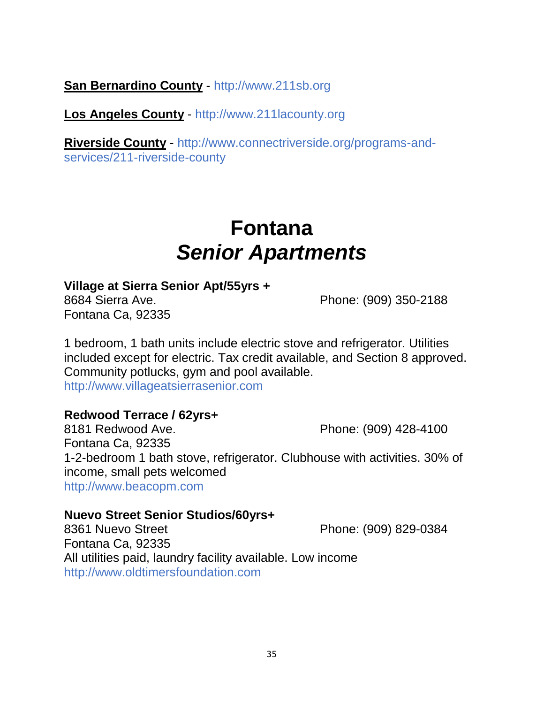**San Bernardino County** - http://www.211sb.org

**Los Angeles County** - http://www.211lacounty.org

**Riverside County** - http://www.connectriverside.org/programs-andservices/211-riverside-county

# **Fontana** *Senior Apartments*

### **Village at Sierra Senior Apt/55yrs +**

Fontana Ca, 92335

8684 Sierra Ave. **Phone: (909) 350-2188** 

1 bedroom, 1 bath units include electric stove and refrigerator. Utilities included except for electric. Tax credit available, and Section 8 approved. Community potlucks, gym and pool available. http://www.villageatsierrasenior.com

### **Redwood Terrace / 62yrs+**

8181 Redwood Ave. **Phone: (909) 428-4100** Fontana Ca, 92335 1-2-bedroom 1 bath stove, refrigerator. Clubhouse with activities. 30% of income, small pets welcomed http://www.beacopm.com

### **Nuevo Street Senior Studios/60yrs+**

8361 Nuevo Street **Phone: (909) 829-0384** Fontana Ca, 92335 All utilities paid, laundry facility available. Low income http://www.oldtimersfoundation.com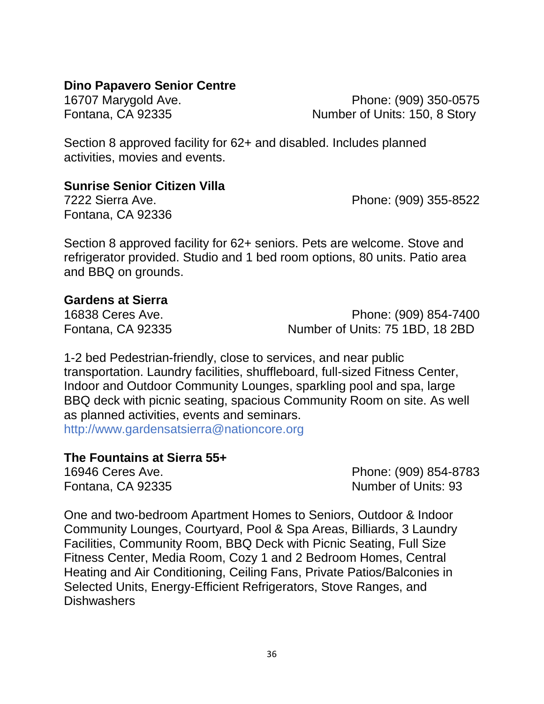### **Dino Papavero Senior Centre**

16707 Marygold Ave. Phone: (909) 350-0575 Fontana, CA 92335 Number of Units: 150, 8 Story

Section 8 approved facility for 62+ and disabled. Includes planned activities, movies and events.

### **Sunrise Senior Citizen Villa**

Fontana, CA 92336

7222 Sierra Ave. Phone: (909) 355-8522

Section 8 approved facility for 62+ seniors. Pets are welcome. Stove and refrigerator provided. Studio and 1 bed room options, 80 units. Patio area and BBQ on grounds.

### **Gardens at Sierra**

16838 Ceres Ave. 2010 16838 Ceres Ave. Fontana, CA 92335 Number of Units: 75 1BD, 18 2BD

1-2 bed Pedestrian-friendly, close to services, and near public transportation. Laundry facilities, shuffleboard, full-sized Fitness Center, Indoor and Outdoor Community Lounges, sparkling pool and spa, large BBQ deck with picnic seating, spacious Community Room on site. As well as planned activities, events and seminars. http://www.gardensatsierra@nationcore.org

### **The Fountains at Sierra 55+**

16946 Ceres Ave. Phone: (909) 854-8783 Fontana, CA 92335 Number of Units: 93

One and two-bedroom Apartment Homes to Seniors, Outdoor & Indoor Community Lounges, Courtyard, Pool & Spa Areas, Billiards, 3 Laundry Facilities, Community Room, BBQ Deck with Picnic Seating, Full Size Fitness Center, Media Room, Cozy 1 and 2 Bedroom Homes, Central Heating and Air Conditioning, Ceiling Fans, Private Patios/Balconies in Selected Units, Energy-Efficient Refrigerators, Stove Ranges, and Dishwashers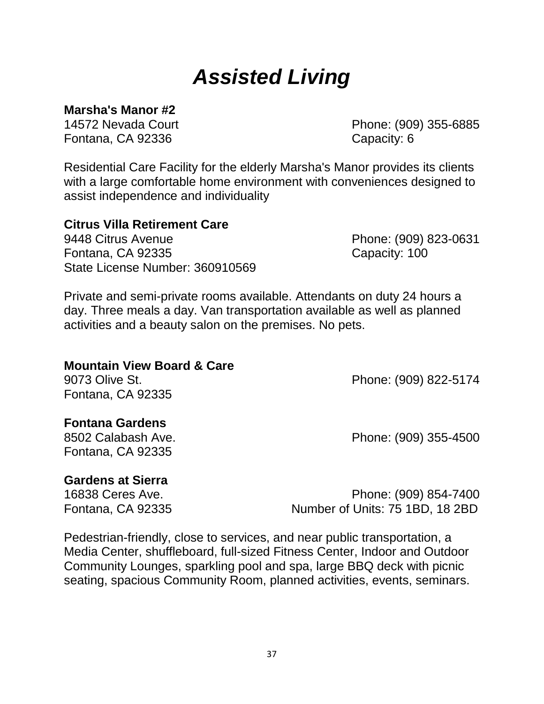# *Assisted Living*

**Marsha's Manor #2** 

Fontana, CA 92336 Capacity: 6

14572 Nevada Court Phone: (909) 355-6885

Residential Care Facility for the elderly Marsha's Manor provides its clients with a large comfortable home environment with conveniences designed to assist independence and individuality

### **Citrus Villa Retirement Care**

9448 Citrus Avenue Phone: (909) 823-0631 Fontana, CA 92335 Capacity: 100 State License Number: 360910569

Private and semi-private rooms available. Attendants on duty 24 hours a day. Three meals a day. Van transportation available as well as planned activities and a beauty salon on the premises. No pets.

| <b>Mountain View Board &amp; Care</b> |                       |
|---------------------------------------|-----------------------|
| 9073 Olive St.                        | Phone: (909) 822-5174 |
| Fontana, CA 92335                     |                       |
| <b>Fontana Gardens</b>                |                       |

8502 Calabash Ave. Phone: (909) 355-4500 Fontana, CA 92335

### **Gardens at Sierra**

16838 Ceres Ave. Phone: (909) 854-7400 Fontana, CA 92335 Number of Units: 75 1BD, 18 2BD

Pedestrian-friendly, close to services, and near public transportation, a Media Center, shuffleboard, full-sized Fitness Center, Indoor and Outdoor Community Lounges, sparkling pool and spa, large BBQ deck with picnic seating, spacious Community Room, planned activities, events, seminars.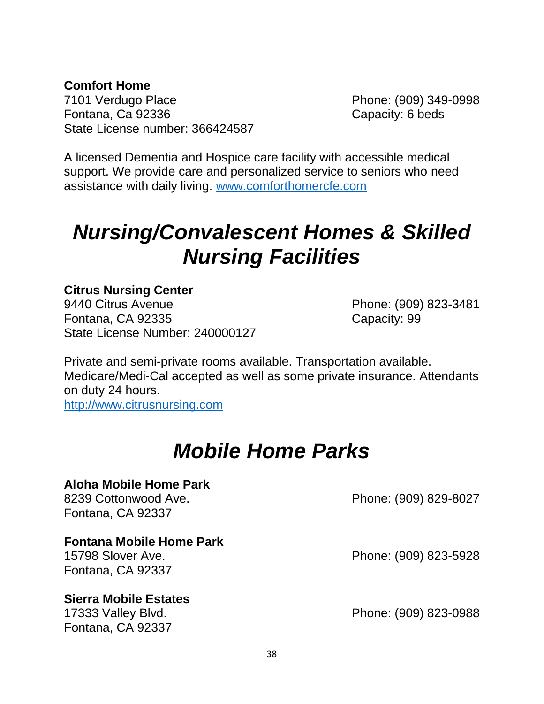### **Comfort Home**

7101 Verdugo Place Phone: (909) 349-0998 Fontana, Ca 92336 **Capacity: 6 beds** State License number: 366424587

A licensed Dementia and Hospice care facility with accessible medical support. We provide care and personalized service to seniors who need assistance with daily living. [www.comforthomercfe.com](http://www.comforthomercfe.com/)

# *Nursing/Convalescent Homes & Skilled Nursing Facilities*

### **Citrus Nursing Center**

9440 Citrus Avenue Phone: (909) 823-3481 Fontana, CA 92335 Capacity: 99 State License Number: 240000127

Private and semi-private rooms available. Transportation available. Medicare/Medi-Cal accepted as well as some private insurance. Attendants on duty 24 hours.

[http://www.citrusnursing.com](http://www.citrusnursing.com/)

### *Mobile Home Parks*

#### **Aloha Mobile Home Park**

8239 Cottonwood Ave. **Phone: (909) 829-8027** Fontana, CA 92337

#### **Fontana Mobile Home Park**

Fontana, CA 92337

#### **Sierra Mobile Estates**

Fontana, CA 92337

15798 Slover Ave. 2010 16:30 Phone: (909) 823-5928

17333 Valley Blvd. Phone: (909) 823-0988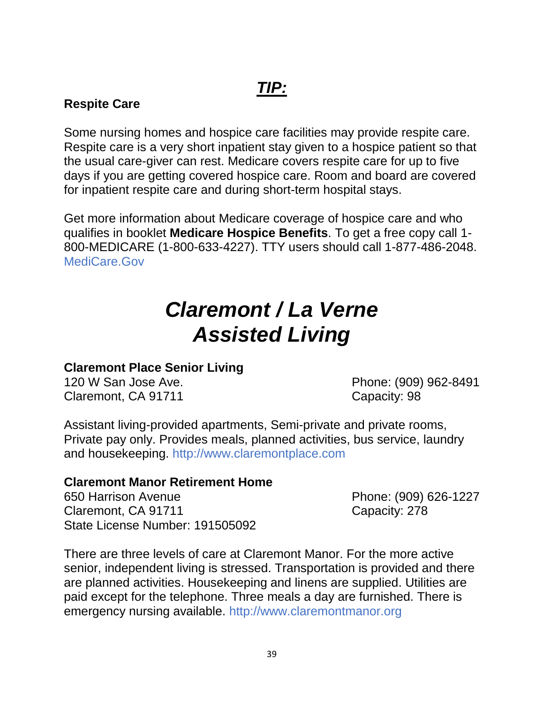### **Respite Care**

Some nursing homes and hospice care facilities may provide respite care. Respite care is a very short inpatient stay given to a hospice patient so that the usual care-giver can rest. Medicare covers respite care for up to five days if you are getting covered hospice care. Room and board are covered for inpatient respite care and during short-term hospital stays.

Get more information about Medicare coverage of hospice care and who qualifies in booklet **Medicare Hospice Benefits**. To get a free copy call 1- 800-MEDICARE (1-800-633-4227). TTY users should call 1-877-486-2048. MediCare.Gov

# *Claremont / La Verne Assisted Living*

### **Claremont Place Senior Living**

Claremont, CA 91711 Claremont, CA 91711

120 W San Jose Ave. **Phone: (909) 962-8491** 

Assistant living-provided apartments, Semi-private and private rooms, Private pay only. Provides meals, planned activities, bus service, laundry and housekeeping. http://www.claremontplace.com

### **Claremont Manor Retirement Home**

650 Harrison Avenue Phone: (909) 626-1227 Claremont, CA 91711 Claremont, CA 91711 State License Number: 191505092

There are three levels of care at Claremont Manor. For the more active senior, independent living is stressed. Transportation is provided and there are planned activities. Housekeeping and linens are supplied. Utilities are paid except for the telephone. Three meals a day are furnished. There is emergency nursing available. http://www.claremontmanor.org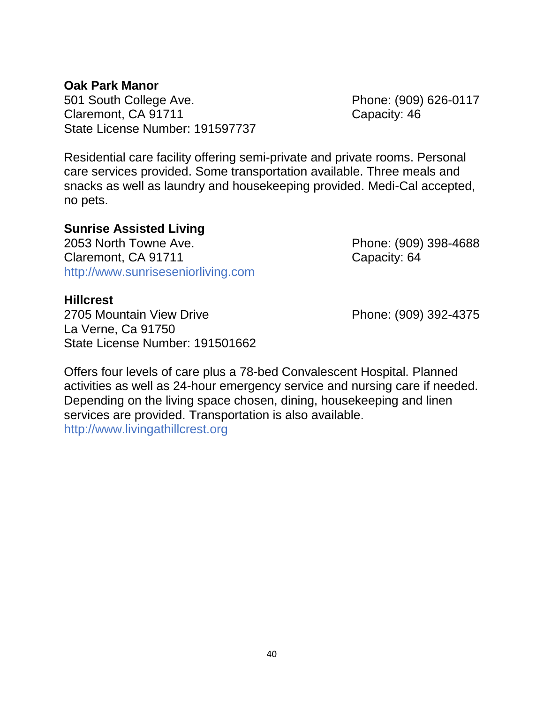### **Oak Park Manor**

501 South College Ave. **Phone: (909) 626-0117** Claremont, CA 91711 Claremont, CA 91711 State License Number: 191597737

Residential care facility offering semi-private and private rooms. Personal care services provided. Some transportation available. Three meals and snacks as well as laundry and housekeeping provided. Medi-Cal accepted, no pets.

### **Sunrise Assisted Living**

2053 North Towne Ave. Phone: (909) 398-4688 Claremont, CA 91711 Claremont, CA 91711 http://www.sunriseseniorliving.com

#### **Hillcrest**

2705 Mountain View Drive Phone: (909) 392-4375 La Verne, Ca 91750 State License Number: 191501662

Offers four levels of care plus a 78-bed Convalescent Hospital. Planned activities as well as 24-hour emergency service and nursing care if needed. Depending on the living space chosen, dining, housekeeping and linen services are provided. Transportation is also available.

http://www.livingathillcrest.org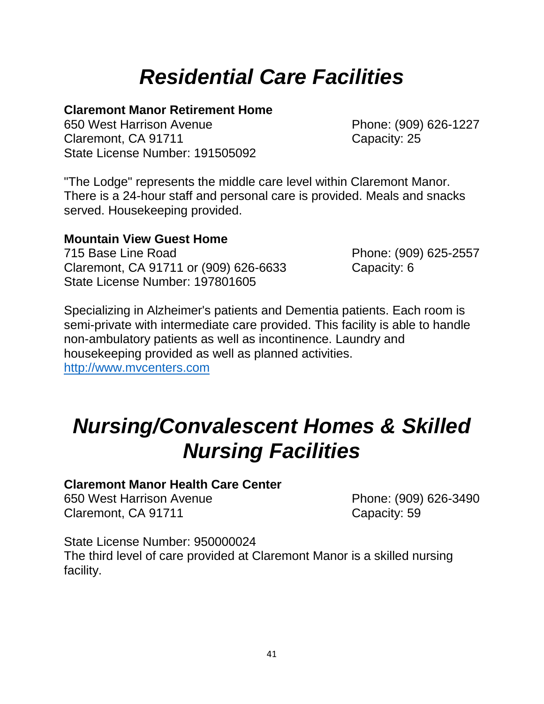# *Residential Care Facilities*

### **Claremont Manor Retirement Home**

650 West Harrison Avenue Phone: (909) 626-1227 Claremont, CA 91711 Claremont, CA 91711 State License Number: 191505092

"The Lodge" represents the middle care level within Claremont Manor. There is a 24-hour staff and personal care is provided. Meals and snacks served. Housekeeping provided.

### **Mountain View Guest Home**

715 Base Line Road Phone: (909) 625-2557 Claremont, CA 91711 or (909) 626-6633 Capacity: 6 State License Number: 197801605

Specializing in Alzheimer's patients and Dementia patients. Each room is semi-private with intermediate care provided. This facility is able to handle non-ambulatory patients as well as incontinence. Laundry and housekeeping provided as well as planned activities. [http://www.mvcenters.com](http://www.mvcenters.com/)

# *Nursing/Convalescent Homes & Skilled Nursing Facilities*

### **Claremont Manor Health Care Center**

650 West Harrison Avenue Phone: (909) 626-3490 Claremont, CA 91711 Claremont, CA 91711

State License Number: 950000024 The third level of care provided at Claremont Manor is a skilled nursing facility.